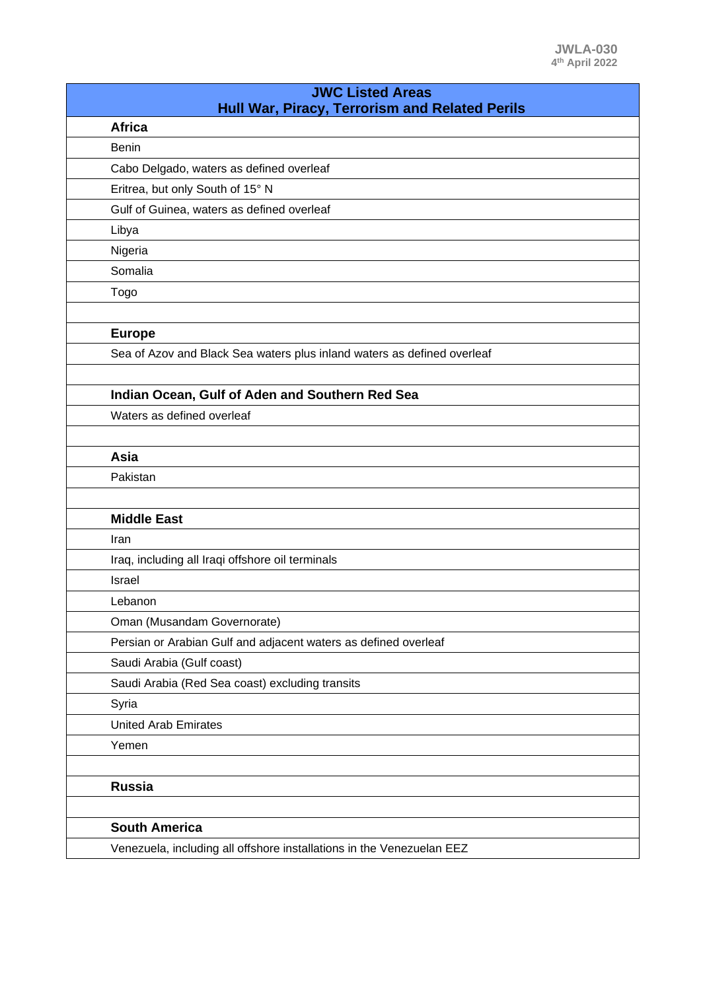| <b>JWC Listed Areas</b><br>Hull War, Piracy, Terrorism and Related Perils |
|---------------------------------------------------------------------------|
| <b>Africa</b>                                                             |
| Benin                                                                     |
| Cabo Delgado, waters as defined overleaf                                  |
| Eritrea, but only South of 15° N                                          |
| Gulf of Guinea, waters as defined overleaf                                |
| Libya                                                                     |
| Nigeria                                                                   |
| Somalia                                                                   |
| Togo                                                                      |
|                                                                           |
| <b>Europe</b>                                                             |
| Sea of Azov and Black Sea waters plus inland waters as defined overleaf   |
|                                                                           |
| Indian Ocean, Gulf of Aden and Southern Red Sea                           |
| Waters as defined overleaf                                                |
|                                                                           |
| Asia                                                                      |
| Pakistan                                                                  |
|                                                                           |
| <b>Middle East</b>                                                        |
| Iran                                                                      |
| Iraq, including all Iraqi offshore oil terminals                          |
| Israel                                                                    |
| Lebanon                                                                   |
| Oman (Musandam Governorate)                                               |
| Persian or Arabian Gulf and adjacent waters as defined overleaf           |
| Saudi Arabia (Gulf coast)                                                 |
| Saudi Arabia (Red Sea coast) excluding transits                           |
| Syria                                                                     |
| <b>United Arab Emirates</b>                                               |
| Yemen                                                                     |
|                                                                           |
| <b>Russia</b>                                                             |
|                                                                           |
| <b>South America</b>                                                      |
| Venezuela, including all offshore installations in the Venezuelan EEZ     |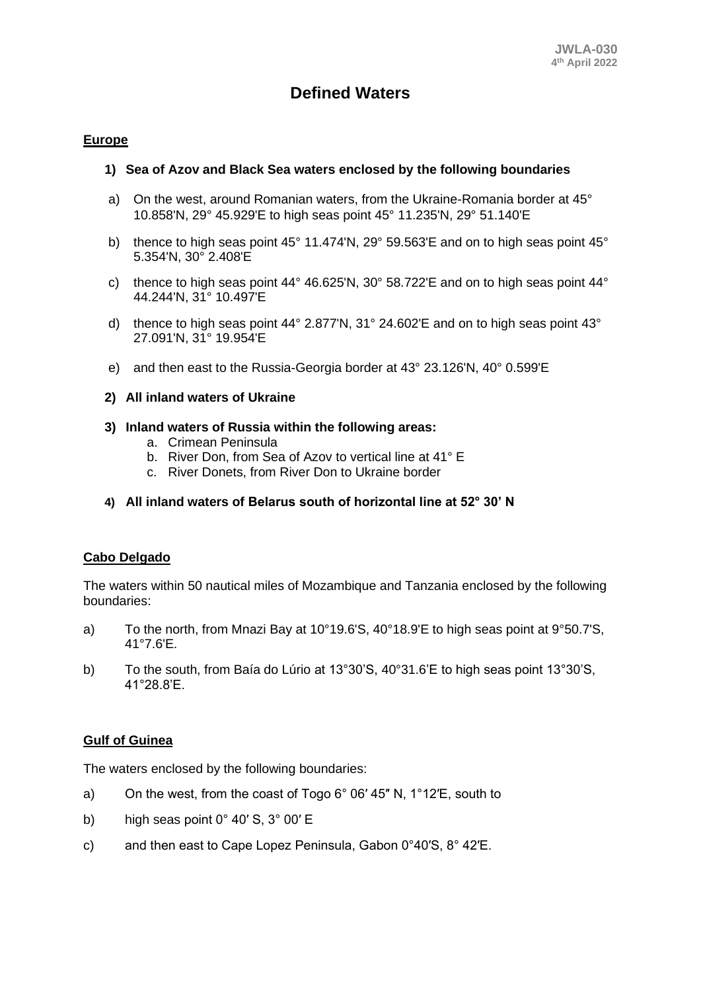# **Defined Waters**

## **Europe**

### **1) Sea of Azov and Black Sea waters enclosed by the following boundaries**

- a) On the west, around Romanian waters, from the Ukraine-Romania border at 45° 10.858'N, 29° 45.929'E to high seas point 45° 11.235'N, 29° 51.140'E
- b) thence to high seas point 45° 11.474'N, 29° 59.563'E and on to high seas point 45° 5.354'N, 30° 2.408'E
- c) thence to high seas point 44° 46.625'N, 30° 58.722'E and on to high seas point 44° 44.244'N, 31° 10.497'E
- d) thence to high seas point 44° 2.877'N, 31° 24.602'E and on to high seas point 43° 27.091'N, 31° 19.954'E
- e) and then east to the Russia-Georgia border at 43° 23.126'N, 40° 0.599'E

#### **2) All inland waters of Ukraine**

- **3) Inland waters of Russia within the following areas:**
	- a. Crimean Peninsula
	- b. River Don, from Sea of Azov to vertical line at 41° E
	- c. River Donets, from River Don to Ukraine border
- **4) All inland waters of Belarus south of horizontal line at 52° 30' N**

# **Cabo Delgado**

The waters within 50 nautical miles of Mozambique and Tanzania enclosed by the following boundaries:

- a) To the north, from Mnazi Bay at 10°19.6'S, 40°18.9'E to high seas point at 9°50.7'S, 41°7.6'E.
- b) To the south, from Baía do Lúrio at 13°30'S, 40°31.6'E to high seas point 13°30'S, 41°28.8'E.

# **Gulf of Guinea**

The waters enclosed by the following boundaries:

- a) On the west, from the coast of Togo 6° 06′ 45″ N, 1°12′E, south to
- b) high seas point 0° 40′ S, 3° 00′ E
- c) and then east to Cape Lopez Peninsula, Gabon 0°40′S, 8° 42′E.